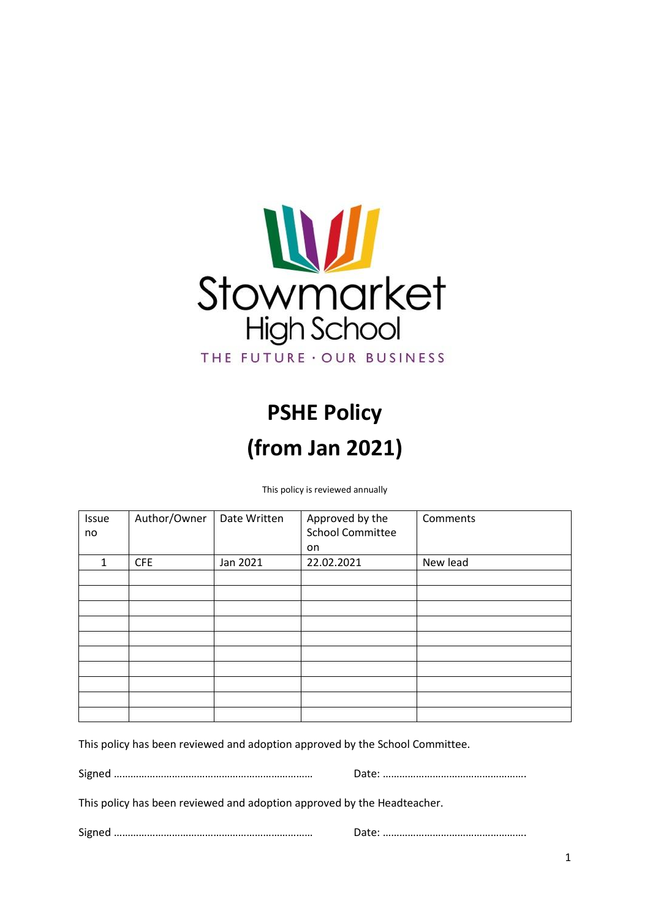

# **PSHE Policy (from Jan 2021)**

This policy is reviewed annually

| Issue<br>no  | Author/Owner | Date Written | Approved by the<br><b>School Committee</b> | Comments |
|--------------|--------------|--------------|--------------------------------------------|----------|
|              |              |              | on                                         |          |
| $\mathbf{1}$ | <b>CFE</b>   | Jan 2021     | 22.02.2021                                 | New lead |
|              |              |              |                                            |          |
|              |              |              |                                            |          |
|              |              |              |                                            |          |
|              |              |              |                                            |          |
|              |              |              |                                            |          |
|              |              |              |                                            |          |
|              |              |              |                                            |          |
|              |              |              |                                            |          |
|              |              |              |                                            |          |
|              |              |              |                                            |          |

This policy has been reviewed and adoption approved by the School Committee.

Signed ……………………………………………………………… Date: …………………………………………….

This policy has been reviewed and adoption approved by the Headteacher.

Signed ……………………………………………………………… Date: …………………………………………….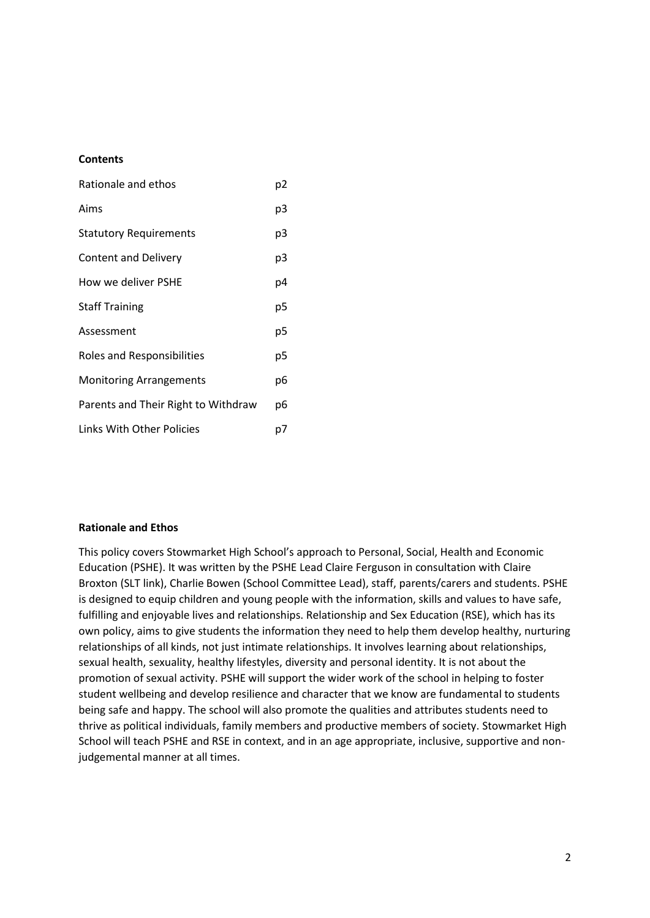#### **Contents**

| Rationale and ethos                 |    |  |
|-------------------------------------|----|--|
| Aims                                | p3 |  |
| <b>Statutory Requirements</b>       | p3 |  |
| Content and Delivery                | p3 |  |
| How we deliver PSHE                 | p4 |  |
| <b>Staff Training</b>               | р5 |  |
| Assessment                          | р5 |  |
| <b>Roles and Responsibilities</b>   | р5 |  |
| <b>Monitoring Arrangements</b>      | p6 |  |
| Parents and Their Right to Withdraw | p6 |  |
| Links With Other Policies           |    |  |

#### **Rationale and Ethos**

This policy covers Stowmarket High School's approach to Personal, Social, Health and Economic Education (PSHE). It was written by the PSHE Lead Claire Ferguson in consultation with Claire Broxton (SLT link), Charlie Bowen (School Committee Lead), staff, parents/carers and students. PSHE is designed to equip children and young people with the information, skills and values to have safe, fulfilling and enjoyable lives and relationships. Relationship and Sex Education (RSE), which has its own policy, aims to give students the information they need to help them develop healthy, nurturing relationships of all kinds, not just intimate relationships. It involves learning about relationships, sexual health, sexuality, healthy lifestyles, diversity and personal identity. It is not about the promotion of sexual activity. PSHE will support the wider work of the school in helping to foster student wellbeing and develop resilience and character that we know are fundamental to students being safe and happy. The school will also promote the qualities and attributes students need to thrive as political individuals, family members and productive members of society. Stowmarket High School will teach PSHE and RSE in context, and in an age appropriate, inclusive, supportive and nonjudgemental manner at all times.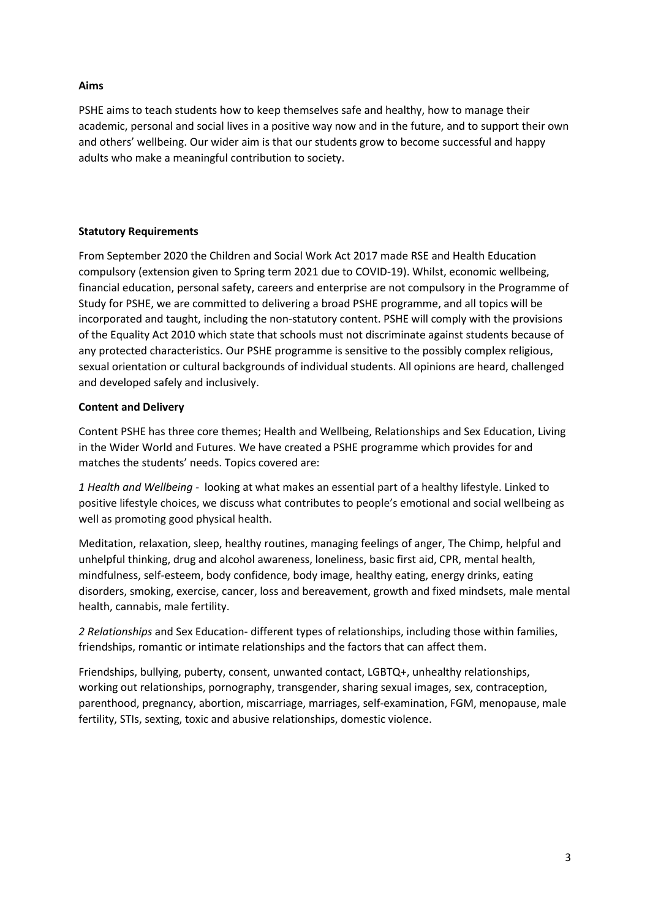#### **Aims**

PSHE aims to teach students how to keep themselves safe and healthy, how to manage their academic, personal and social lives in a positive way now and in the future, and to support their own and others' wellbeing. Our wider aim is that our students grow to become successful and happy adults who make a meaningful contribution to society.

# **Statutory Requirements**

From September 2020 the Children and Social Work Act 2017 made RSE and Health Education compulsory (extension given to Spring term 2021 due to COVID-19). Whilst, economic wellbeing, financial education, personal safety, careers and enterprise are not compulsory in the Programme of Study for PSHE, we are committed to delivering a broad PSHE programme, and all topics will be incorporated and taught, including the non-statutory content. PSHE will comply with the provisions of the Equality Act 2010 which state that schools must not discriminate against students because of any protected characteristics. Our PSHE programme is sensitive to the possibly complex religious, sexual orientation or cultural backgrounds of individual students. All opinions are heard, challenged and developed safely and inclusively.

#### **Content and Delivery**

Content PSHE has three core themes; Health and Wellbeing, Relationships and Sex Education, Living in the Wider World and Futures. We have created a PSHE programme which provides for and matches the students' needs. Topics covered are:

*1 Health and Wellbeing -* looking at what makes an essential part of a healthy lifestyle. Linked to positive lifestyle choices, we discuss what contributes to people's emotional and social wellbeing as well as promoting good physical health.

Meditation, relaxation, sleep, healthy routines, managing feelings of anger, The Chimp, helpful and unhelpful thinking, drug and alcohol awareness, loneliness, basic first aid, CPR, mental health, mindfulness, self-esteem, body confidence, body image, healthy eating, energy drinks, eating disorders, smoking, exercise, cancer, loss and bereavement, growth and fixed mindsets, male mental health, cannabis, male fertility.

*2 Relationships* and Sex Education- different types of relationships, including those within families, friendships, romantic or intimate relationships and the factors that can affect them.

Friendships, bullying, puberty, consent, unwanted contact, LGBTQ+, unhealthy relationships, working out relationships, pornography, transgender, sharing sexual images, sex, contraception, parenthood, pregnancy, abortion, miscarriage, marriages, self-examination, FGM, menopause, male fertility, STIs, sexting, toxic and abusive relationships, domestic violence.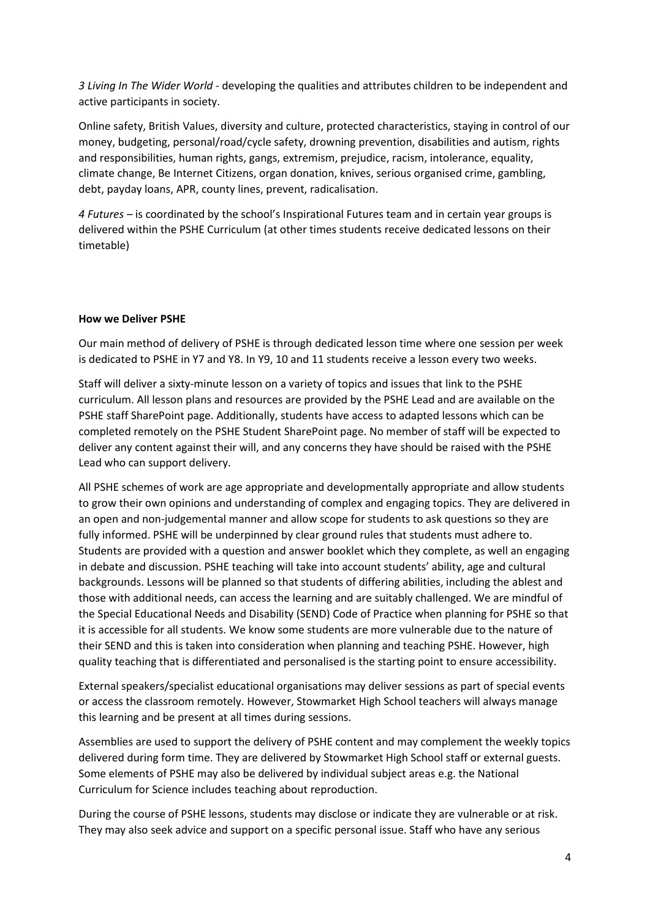*3 Living In The Wider World* - developing the qualities and attributes children to be independent and active participants in society.

Online safety, British Values, diversity and culture, protected characteristics, staying in control of our money, budgeting, personal/road/cycle safety, drowning prevention, disabilities and autism, rights and responsibilities, human rights, gangs, extremism, prejudice, racism, intolerance, equality, climate change, Be Internet Citizens, organ donation, knives, serious organised crime, gambling, debt, payday loans, APR, county lines, prevent, radicalisation.

*4 Futures –* is coordinated by the school's Inspirational Futures team and in certain year groups is delivered within the PSHE Curriculum (at other times students receive dedicated lessons on their timetable)

#### **How we Deliver PSHE**

Our main method of delivery of PSHE is through dedicated lesson time where one session per week is dedicated to PSHE in Y7 and Y8. In Y9, 10 and 11 students receive a lesson every two weeks.

Staff will deliver a sixty-minute lesson on a variety of topics and issues that link to the PSHE curriculum. All lesson plans and resources are provided by the PSHE Lead and are available on the PSHE staff SharePoint page. Additionally, students have access to adapted lessons which can be completed remotely on the PSHE Student SharePoint page. No member of staff will be expected to deliver any content against their will, and any concerns they have should be raised with the PSHE Lead who can support delivery.

All PSHE schemes of work are age appropriate and developmentally appropriate and allow students to grow their own opinions and understanding of complex and engaging topics. They are delivered in an open and non-judgemental manner and allow scope for students to ask questions so they are fully informed. PSHE will be underpinned by clear ground rules that students must adhere to. Students are provided with a question and answer booklet which they complete, as well an engaging in debate and discussion. PSHE teaching will take into account students' ability, age and cultural backgrounds. Lessons will be planned so that students of differing abilities, including the ablest and those with additional needs, can access the learning and are suitably challenged. We are mindful of the Special Educational Needs and Disability (SEND) Code of Practice when planning for PSHE so that it is accessible for all students. We know some students are more vulnerable due to the nature of their SEND and this is taken into consideration when planning and teaching PSHE. However, high quality teaching that is differentiated and personalised is the starting point to ensure accessibility.

External speakers/specialist educational organisations may deliver sessions as part of special events or access the classroom remotely. However, Stowmarket High School teachers will always manage this learning and be present at all times during sessions.

Assemblies are used to support the delivery of PSHE content and may complement the weekly topics delivered during form time. They are delivered by Stowmarket High School staff or external guests. Some elements of PSHE may also be delivered by individual subject areas e.g. the National Curriculum for Science includes teaching about reproduction.

During the course of PSHE lessons, students may disclose or indicate they are vulnerable or at risk. They may also seek advice and support on a specific personal issue. Staff who have any serious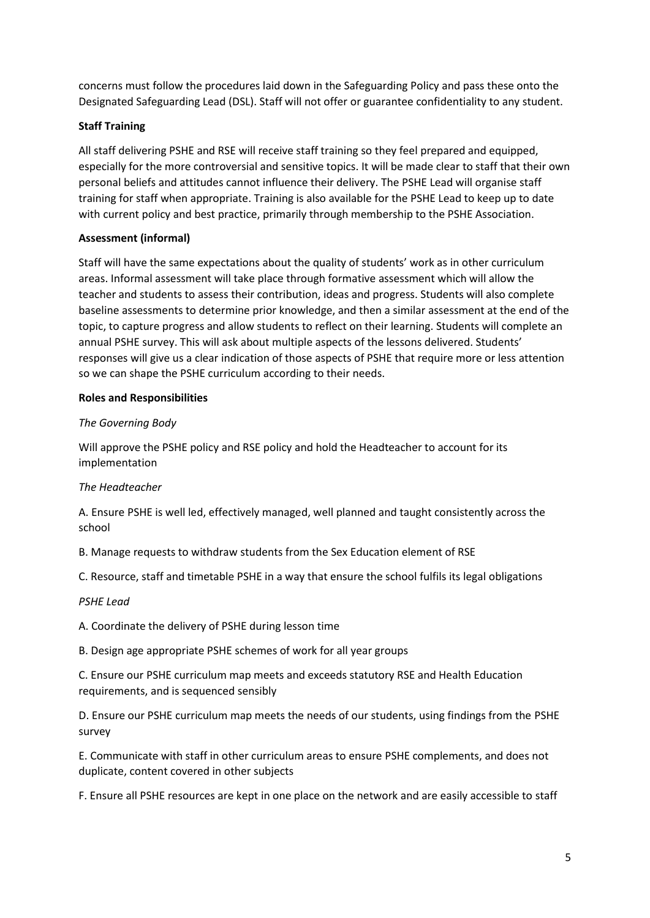concerns must follow the procedures laid down in the Safeguarding Policy and pass these onto the Designated Safeguarding Lead (DSL). Staff will not offer or guarantee confidentiality to any student.

# **Staff Training**

All staff delivering PSHE and RSE will receive staff training so they feel prepared and equipped, especially for the more controversial and sensitive topics. It will be made clear to staff that their own personal beliefs and attitudes cannot influence their delivery. The PSHE Lead will organise staff training for staff when appropriate. Training is also available for the PSHE Lead to keep up to date with current policy and best practice, primarily through membership to the PSHE Association.

# **Assessment (informal)**

Staff will have the same expectations about the quality of students' work as in other curriculum areas. Informal assessment will take place through formative assessment which will allow the teacher and students to assess their contribution, ideas and progress. Students will also complete baseline assessments to determine prior knowledge, and then a similar assessment at the end of the topic, to capture progress and allow students to reflect on their learning. Students will complete an annual PSHE survey. This will ask about multiple aspects of the lessons delivered. Students' responses will give us a clear indication of those aspects of PSHE that require more or less attention so we can shape the PSHE curriculum according to their needs.

# **Roles and Responsibilities**

# *The Governing Body*

Will approve the PSHE policy and RSE policy and hold the Headteacher to account for its implementation

# *The Headteacher*

A. Ensure PSHE is well led, effectively managed, well planned and taught consistently across the school

B. Manage requests to withdraw students from the Sex Education element of RSE

C. Resource, staff and timetable PSHE in a way that ensure the school fulfils its legal obligations

# *PSHE Lead*

A. Coordinate the delivery of PSHE during lesson time

B. Design age appropriate PSHE schemes of work for all year groups

C. Ensure our PSHE curriculum map meets and exceeds statutory RSE and Health Education requirements, and is sequenced sensibly

D. Ensure our PSHE curriculum map meets the needs of our students, using findings from the PSHE survey

E. Communicate with staff in other curriculum areas to ensure PSHE complements, and does not duplicate, content covered in other subjects

F. Ensure all PSHE resources are kept in one place on the network and are easily accessible to staff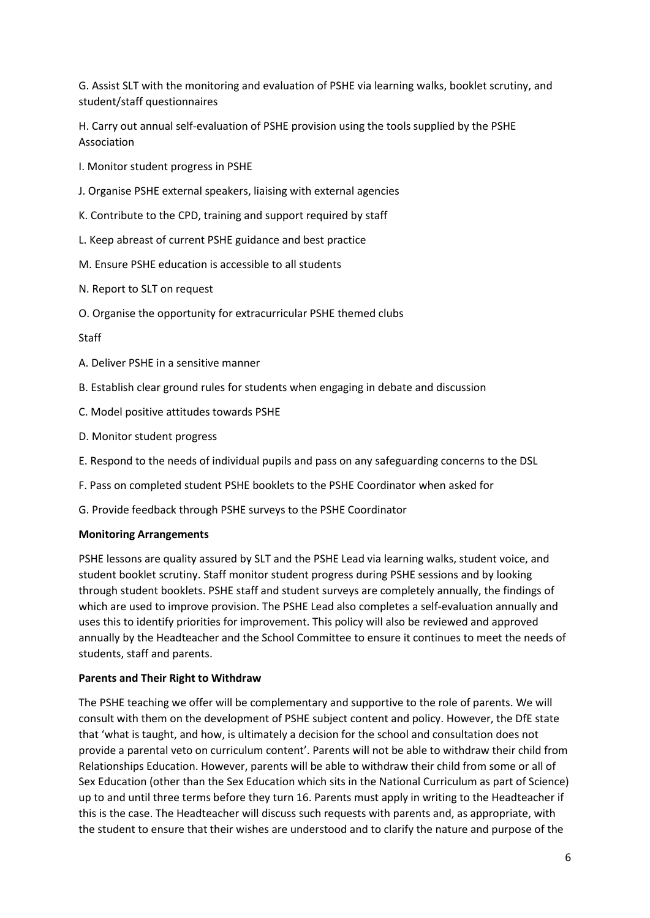G. Assist SLT with the monitoring and evaluation of PSHE via learning walks, booklet scrutiny, and student/staff questionnaires

H. Carry out annual self-evaluation of PSHE provision using the tools supplied by the PSHE Association

I. Monitor student progress in PSHE

- J. Organise PSHE external speakers, liaising with external agencies
- K. Contribute to the CPD, training and support required by staff
- L. Keep abreast of current PSHE guidance and best practice
- M. Ensure PSHE education is accessible to all students
- N. Report to SLT on request
- O. Organise the opportunity for extracurricular PSHE themed clubs

Staff

- A. Deliver PSHE in a sensitive manner
- B. Establish clear ground rules for students when engaging in debate and discussion
- C. Model positive attitudes towards PSHE
- D. Monitor student progress
- E. Respond to the needs of individual pupils and pass on any safeguarding concerns to the DSL
- F. Pass on completed student PSHE booklets to the PSHE Coordinator when asked for
- G. Provide feedback through PSHE surveys to the PSHE Coordinator

#### **Monitoring Arrangements**

PSHE lessons are quality assured by SLT and the PSHE Lead via learning walks, student voice, and student booklet scrutiny. Staff monitor student progress during PSHE sessions and by looking through student booklets. PSHE staff and student surveys are completely annually, the findings of which are used to improve provision. The PSHE Lead also completes a self-evaluation annually and uses this to identify priorities for improvement. This policy will also be reviewed and approved annually by the Headteacher and the School Committee to ensure it continues to meet the needs of students, staff and parents.

#### **Parents and Their Right to Withdraw**

The PSHE teaching we offer will be complementary and supportive to the role of parents. We will consult with them on the development of PSHE subject content and policy. However, the DfE state that 'what is taught, and how, is ultimately a decision for the school and consultation does not provide a parental veto on curriculum content'. Parents will not be able to withdraw their child from Relationships Education. However, parents will be able to withdraw their child from some or all of Sex Education (other than the Sex Education which sits in the National Curriculum as part of Science) up to and until three terms before they turn 16. Parents must apply in writing to the Headteacher if this is the case. The Headteacher will discuss such requests with parents and, as appropriate, with the student to ensure that their wishes are understood and to clarify the nature and purpose of the